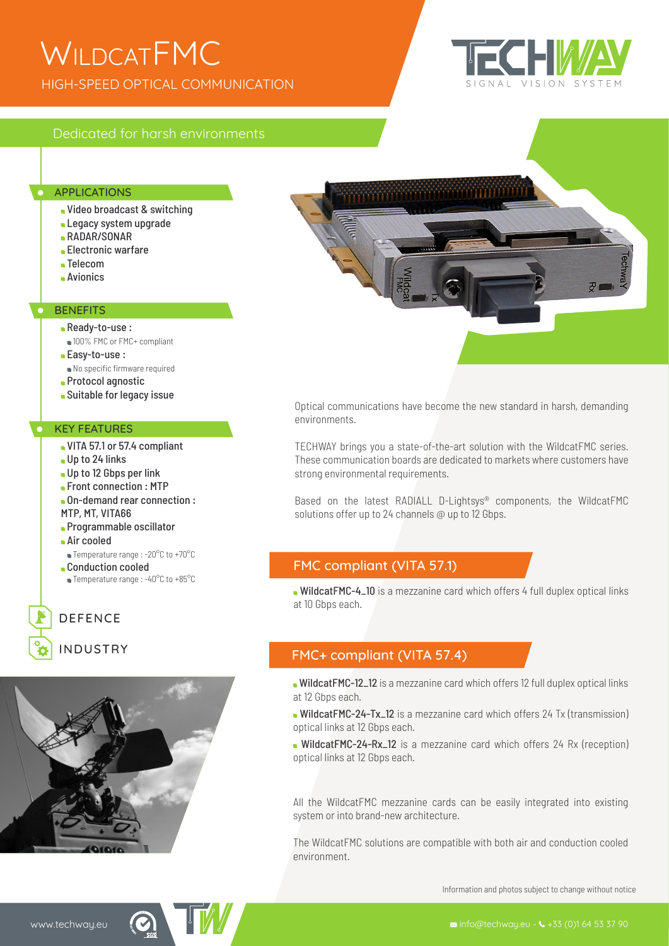## HIGH-SPEED OPTICAL COMMUNICATION **WILDCATFMC**



## Dedicated for harsh environments

#### **APPLICATIONS**

- Video broadcast & switching
- **Legacy system upgrade**
- RADAR/SONAR
- Electronic warfare
- Telecom
- Avionics

#### **BENEFITS**

- Ready-to-use :
	- 100% FMC or FMC+ compliant
- **Easy-to-use:**
- No specific firmware required
- **Protocol agnostic**
- Suitable for legacy issue

#### KEY FEATURES

- VITA 57.1 or 57.4 compliant
- Up to 24 links
- Up to 12 Gbps per link
- Front connection : MTP
- On-demand rear connection : MTP, MT, VITA66
- Programmable oscillator
- Air cooled
- Temperature range : -20°C to +70°C
- **Conduction cooled**
- Temperature range : -40°C to +85°C

## DEFENCE

INDUSTRY





Optical communications have become the new standard in harsh, demanding environments.

TECHWAY brings you a state-of-the-art solution with the WildcatFMC series. These communication boards are dedicated to markets where customers have strong environmental requirements.

Based on the latest RADIALL D-Lightsys® components, the WildcatFMC solutions offer up to 24 channels @ up to 12 Gbps.

#### FMC compliant (VITA 57.1)

WildcatFMC-4\_10 is a mezzanine card which offers 4 full duplex optical links at 10 Gbps each.

### FMC+ compliant (VITA 57.4)

WildcatFMC-12\_12 is a mezzanine card which offers 12 full duplex optical links at 12 Gbps each.

WildcatFMC-24-Tx\_12 is a mezzanine card which offers 24 Tx (transmission) optical links at 12 Gbps each.

WildcatFMC-24-Rx\_12 is a mezzanine card which offers 24 Rx (reception) optical links at 12 Gbps each.

All the WildcatFMC mezzanine cards can be easily integrated into existing system or into brand-new architecture.

The WildcatFMC solutions are compatible with both air and conduction cooled environment.

Information and photos subject to change without notice